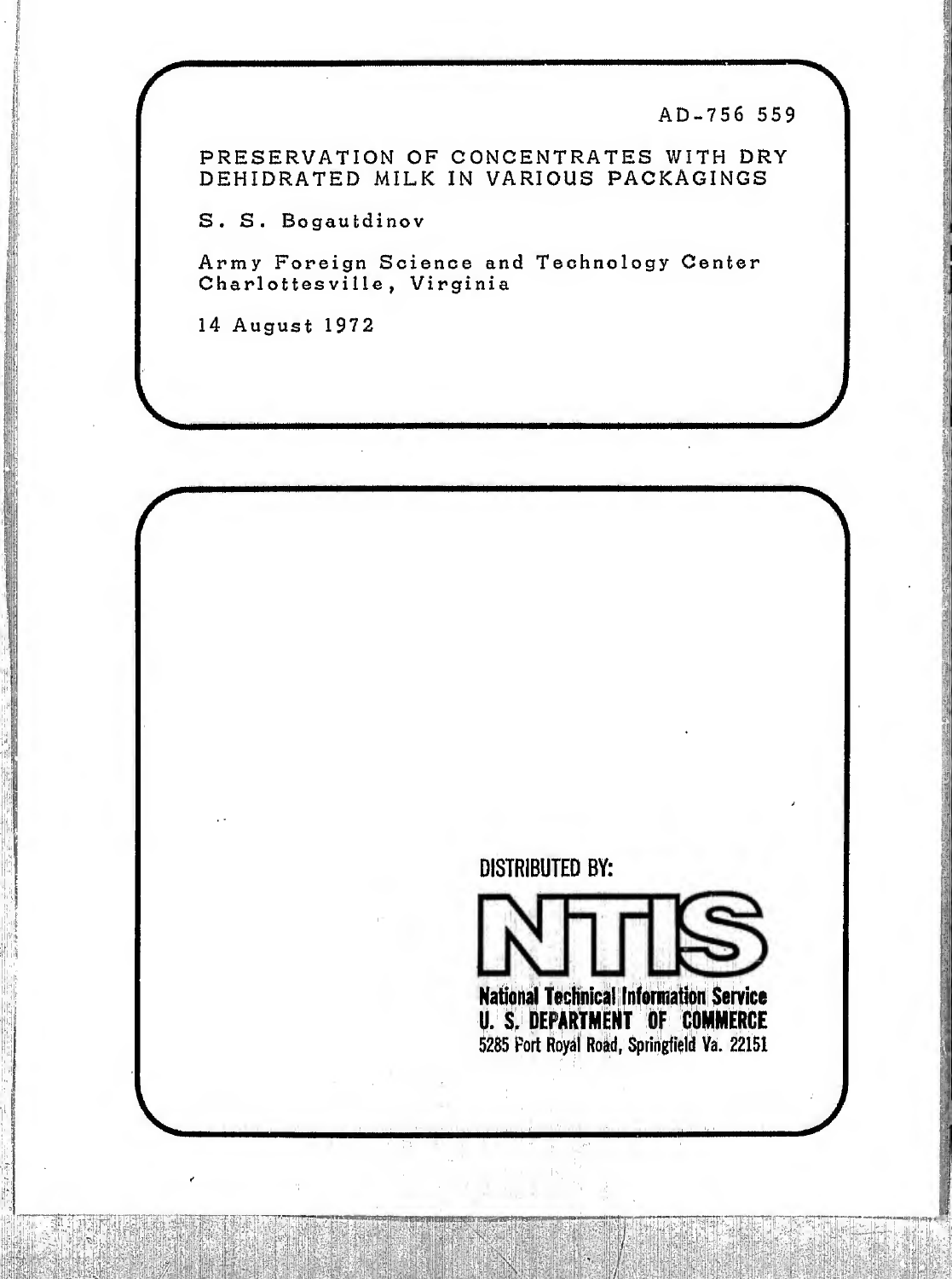AD-756 559

PRESERVATION OF CONCENTRATES WITH DRY DEHIDRATED MILK IN VARIOUS PACKAGINGS

S. S. Bogautdinov

Army Foreign Science and Technology Center Charlottesville, Virginia

14 August 1972

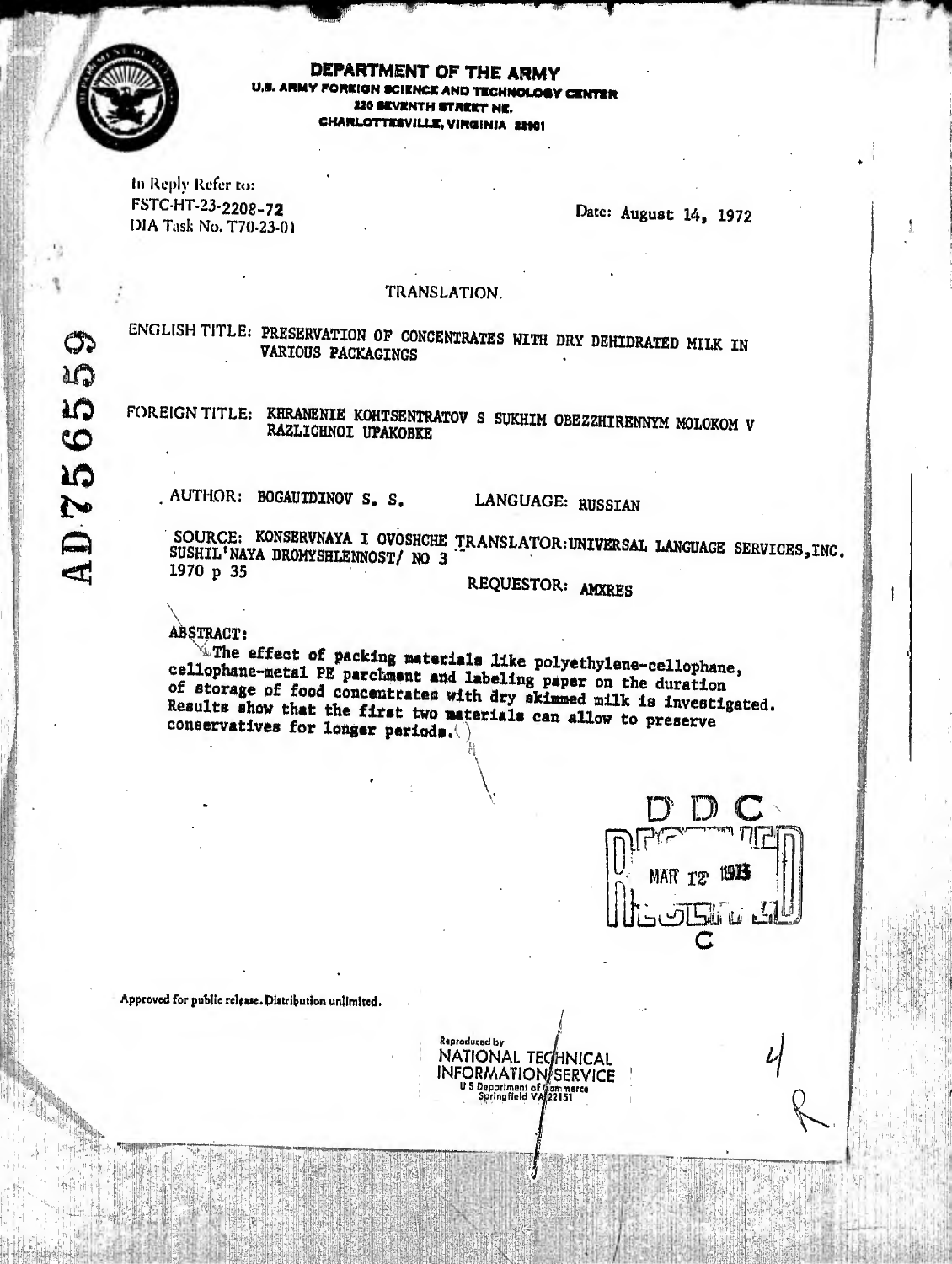

DEPARTMENT OF THE ARMY LARMY FORKIGN SCIENCE AND TECHNOLOGY CENTER 220 SEVENTH STREET NE. CHARLOTTESVILLE, VIRGINIA 22901

In Reply Refer to: FSTC-HT-23-2208-72 DIA Task No. T70-23-01

Date: August 14, 1972

## TRANSLATION.

ENGLISH TITLE: PRESERVATION OF CONCENTRATES WITH DRY DEHIDRATED MILK IN **VARIOUS PACKAGINGS** 

FOREIGN TITLE: KHRANENIE KOHTSENTRATOV S SUKHIM OBEZZHIRENNYM MOLOKOM V RAZLICHNOI UPAKOBKE

AUTHOR: BOGAUTDINOV S. S.

LANGUAGE: RUSSIAN

SOURCE: KONSERVNAYA I OVOSHCHE TRANSLATOR: UNIVERSAL LANGUAGE SERVICES, INC. SUSHIL'NAYA DROMYSHLENNOST/ NO 3 1970 p 35

REQUESTOR: AMXRES

ABSTRACT:

 $\mathcal{L}$  The effect of packing materials like polyethylene-cellophane, cellophane-metal PE parchment and labeling paper on the duration of storage of food concentrates with dry skinned milk is investigated. Results show that the first two materials can allow to preserve conservatives for longer periods.



Approved for public release. Distribution unlimited.

Reproduced by NATIONAL TECHNICAL **INFORMATION/SERVICE** US Department of Gammerce<br>Springfield VA/22151

GP. AQ **AD7565**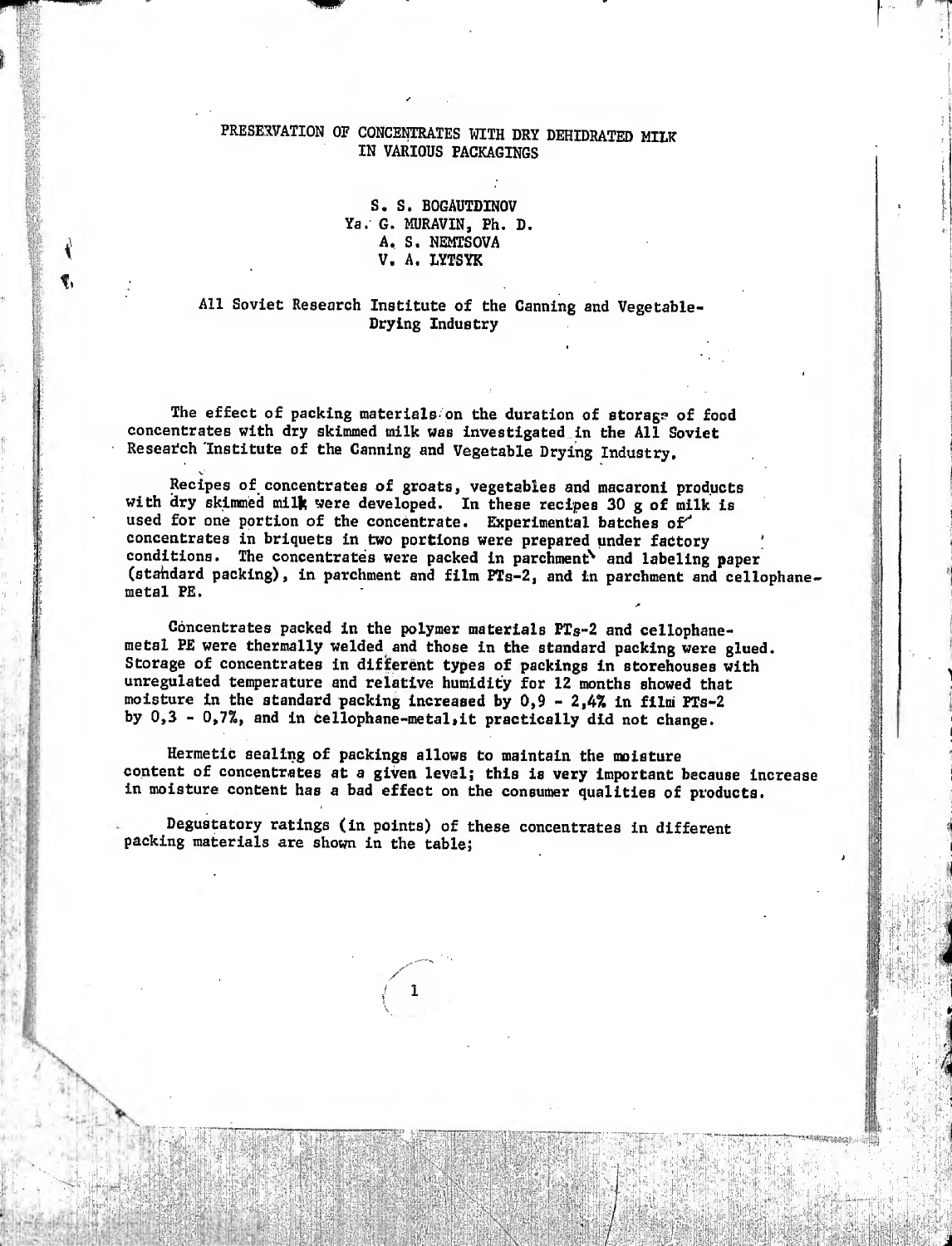## PRESERVATION OF CONCENTRATES WITH DRY DEHIDRATED MILK IN VARIOUS PACKAGINGS

fteld **I i'll** 

> .-:.0 m

> > S. S. BOGAUTDINOV Ya. G. MURAVIN, Ph. D. A, S. NEMTSOVA V. A. LYTSYK

## All Soviet Research Institute of the Canning and Vegetable Drying Industry

The effect of packing materials on the duration of storage of food concentrates with dry skimmed milk was investigated in the All Soviet Research Institute of the Canning and Vegetable Drying Industry.

v'

•" ' t- • »,

Recipes of concentrates of groats, vegetables and macaroni products with dry skimmed milk were developed. In these recipes 30 g of milk is used for one portion of the concentrate. Experimental batches of concentrates in briquets in two portions were prepared under factory conditions. The concentrates were packed in parchment^ and labeling paper (stahdard packing), in parchment and film PTs-2, and in parchment and cellophanemetal PE.

\*

"in

Concentrates packed in the polymer materials PTs-2 and cellophanemetal PE were thermally welded and those in the standard packing were glued. Storage of concentrates in different types of packings in storehouses with unregulated temperature and relative humidity for 12 months showed that moisture in the standard packing increased by  $0,9 - 2,4\%$  in film PTs-2 by  $0,3 - 0,7\%$ , and in cellophane-metal, it practically did not change.

Hermetic sealing of packings allows to maintain the moisture content of concentrates at a given level; this is very important because increase in moisture content has a bad effect on the consumer qualities of products.

Ht

;:4yjî'W- •n'M

 $\mathbb{R}^{n_{\text{H}}}\mathbb{R}$ 'íkb-in

 $\mu$  m

;t¡i; ijíi.

m i'-::

.^-¡f i'.

 $\mathbb{R}$  . 11

it is the second the state of the state

Degustatory ratings (in points) of these concentrates in different packing materials are shown in the table;

% - ^ - ::¾ :-1¾¾ :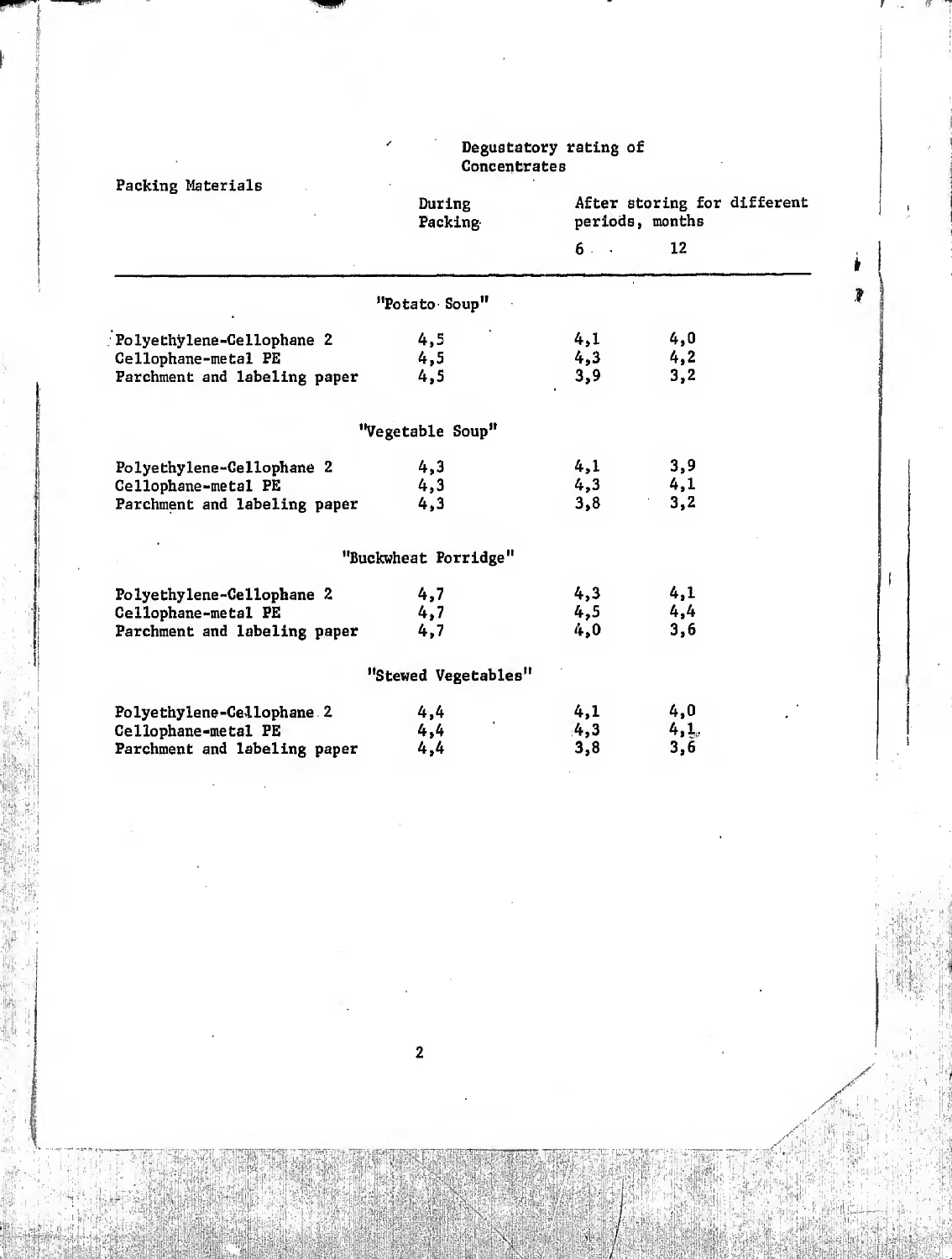| Packing Materials                                                                | During<br>Packing    |                   | After storing for different<br>periods, months |  |
|----------------------------------------------------------------------------------|----------------------|-------------------|------------------------------------------------|--|
|                                                                                  |                      | 6.                | 12                                             |  |
|                                                                                  | "Potato Soup"        |                   |                                                |  |
| Polyethylene-Cellophane 2<br>Cellophane-metal PE<br>Parchment and labeling paper | 4,5<br>4,5<br>4,5    | 4,1<br>4,3<br>3,9 | 4,0<br>4, 2<br>3,2                             |  |
|                                                                                  | "Vegetable Soup"     |                   |                                                |  |
| Polyethylene-Cellophane 2<br>Cellophane-metal PE<br>Parchment and labeling paper | 4,3<br>4,3<br>4,3    | 4,1<br>4,3<br>3,8 | 3,9<br>4,1<br>3,2                              |  |
|                                                                                  | "Buckwheat Porridge" |                   |                                                |  |
| Polyethylene-Cellophane 2<br>Cellophane-metal PE<br>Parchment and labeling paper | 4,7<br>4,7<br>4,7    | 4,3<br>4,5<br>4,0 | 4,1<br>4,4<br>3,6                              |  |
|                                                                                  | "Stewed Vegetables"  |                   |                                                |  |
| Polyethylene-Cellophane.2<br>Cellophane-metal PE<br>Parchment and labeling paper | 4,4<br>4,4<br>4,4    | 4,1<br>4,3<br>3,8 | 4,0<br>4,1.<br>3,6                             |  |

i

## Degustatory rating of external concentrates of the concentrates of the concentrates of the concentrates of the concentrates of the concentrates of the concentrates of the concentrates of the concentrates of the concentrates of the concentrates

» ?